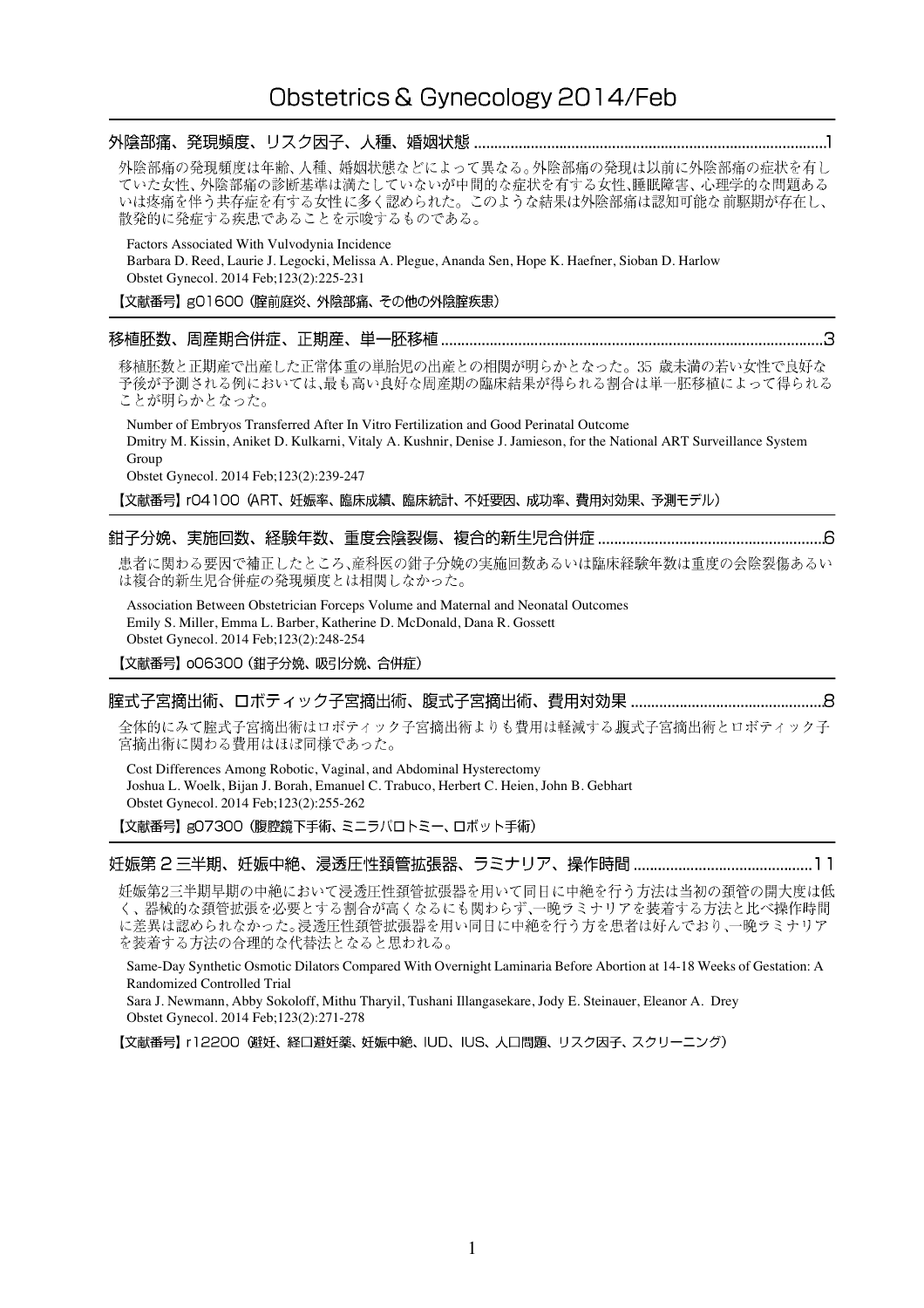# 外陰部痛の発現頻度は年齢、人種、婚姻状態などによって異なる。外陰部痛の発現は以前に外陰部痛の症状を有し ていた女性、外陰部痛の診断基準は満たしていないが中間的な症状を有する女性、睡眠障害、心理学的な問題ある いは疼痛を伴う共存症を有する女性に多く認められた。このような結果は外陰部痛は認知可能な前駆期が存在し、 散発的に発症する疾患であることを示唆するものである。 Factors Associated With Vulvodynia Incidence Barbara D. Reed, Laurie J. Legocki, Melissa A. Plegue, Ananda Sen, Hope K. Haefner, Sioban D. Harlow Obstet Gynecol. 2014 Feb;123(2):225-231 【文献番号】gO1600 (腟前庭炎、外陰部痛、その他の外陰腟疾患) 移植胚数と正期産で出産した正常体重の単胎児の出産との相関が明らかとなった。35 歳未満の若い女性で良好な 予後が予測される例においては、最も高い良好な周産期の臨床結果が得られる割合は単一胚移植によって得られる ことが明らかとなった。 Number of Embryos Transferred After In Vitro Fertilization and Good Perinatal Outcome Dmitry M. Kissin, Aniket D. Kulkarni, Vitaly A. Kushnir, Denise J. Jamieson, for the National ART Surveillance System Group Obstet Gynecol. 2014 Feb;123(2):239-247 【文献番号】 rO4100 (ART、妊娠率、臨床成績、臨床統計、不妊要因、成功率、費用対効果、予測モデル) 患者に関わる要因で補正したところ、産科医の鉗子分娩の実施回数あるいは臨床経験年数は重度の会陰裂傷あるい は複合的新生児合併症の発現頻度とは相関しなかった。 Association Between Obstetrician Forceps Volume and Maternal and Neonatal Outcomes Emily S. Miller, Emma L. Barber, Katherine D. McDonald, Dana R. Gossett Obstet Gynecol. 2014 Feb;123(2):248-254 【文献番号】 oO6300 (鉗子分娩、吸引分娩、合併症)

## 

全体的にみて腟式子宮摘出術はロボティック子宮摘出術よりも費用は軽減する腹式子宮摘出術とロボティック子 宮摘出術に関わる費用はほぼ同様であった。

Cost Differences Among Robotic, Vaginal, and Abdominal Hysterectomy Joshua L. Woelk, Bijan J. Borah, Emanuel C. Trabuco, Herbert C. Heien, John B. Gebhart Obstet Gynecol. 2014 Feb;123(2):255-262 【文献番号】gO7300 (腹腔鏡下手術、ミニラパロトミー、ロボット手術)

妊娠第2三半期早期の中絶において浸透圧性頚管拡張器を用いて同日に中絶を行う方法は当初の頚管の開大度は低 く、器械的な頚管拡張を必要とする割合が高くなるにも関わらず、一晩ラミナリアを装着する方法と比べ操作時間 に差異は認められなかった。浸透圧性頚管拡張器を用い同日に中絶を行う方を患者は好んでおり、一晩ラミナリア を装着する方法の合理的な代替法となると思われる。

Same-Day Synthetic Osmotic Dilators Compared With Overnight Laminaria Before Abortion at 14-18 Weeks of Gestation: A Randomized Controlled Trial

Sara J. Newmann, Abby Sokoloff, Mithu Tharyil, Tushani Illangasekare, Jody E. Steinauer, Eleanor A. Drey Obstet Gynecol. 2014 Feb;123(2):271-278

【文献番号】 r12200 (避妊、経口避妊薬、妊娠中絶、IUD、IUS、人口問題、リスク因子、スクリーニング)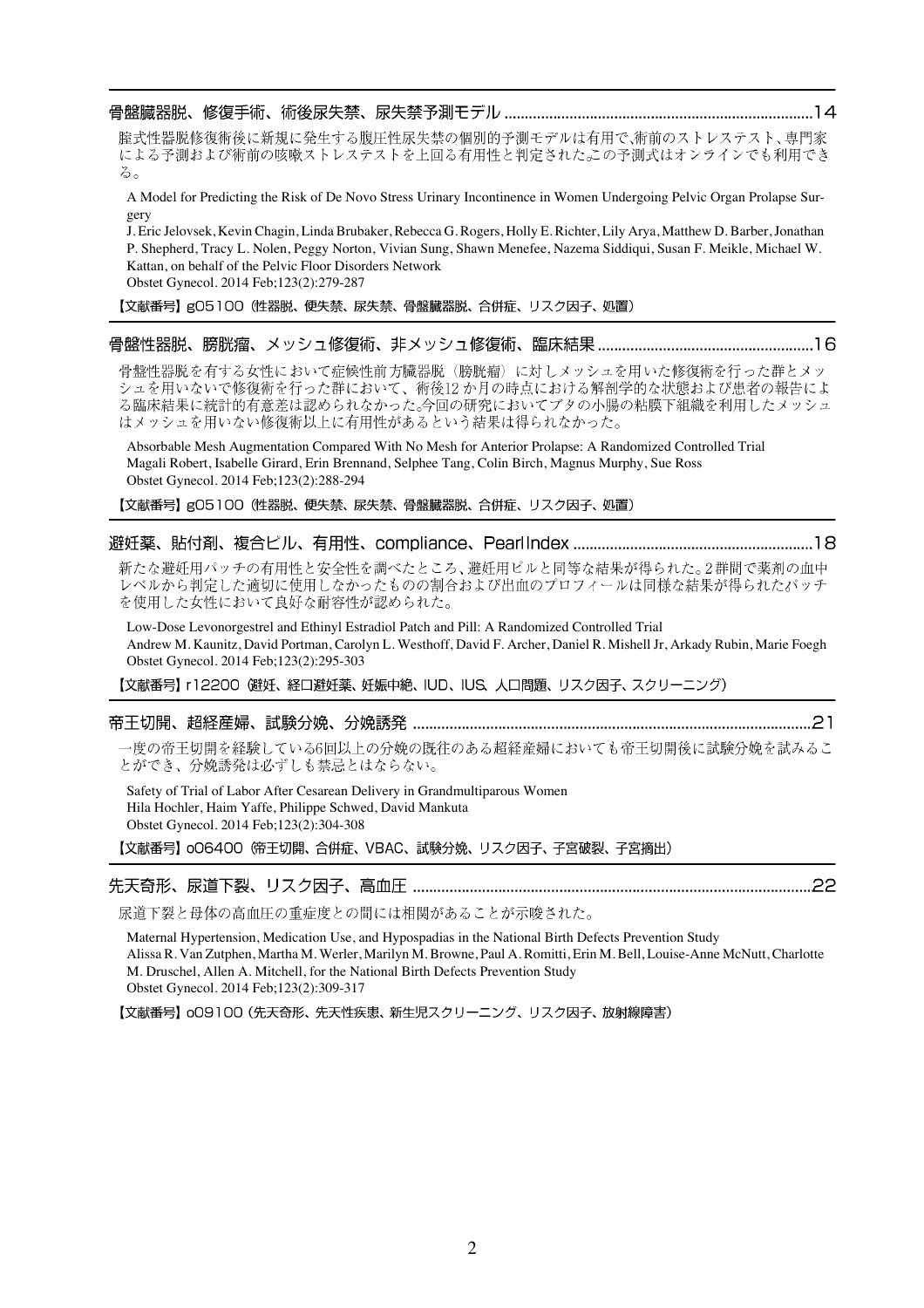腟式性器脱修復術後に新規に発生する腹圧性尿失禁の個別的予測モデルは有用で、術前のストレステスト、専門家 による予測および術前の咳嗽ストレステストを上回る有用性と判定された。この予測式はオンラインでも利用でき  $\delta$ 

A Model for Predicting the Risk of De Novo Stress Urinary Incontinence in Women Undergoing Pelvic Organ Prolapse Surgery

J. Eric Jelovsek, Kevin Chagin, Linda Brubaker, Rebecca G. Rogers, Holly E. Richter, Lily Arya, Matthew D. Barber, Jonathan P. Shepherd, Tracy L. Nolen, Peggy Norton, Vivian Sung, Shawn Menefee, Nazema Siddiqui, Susan F. Meikle, Michael W. Kattan, on behalf of the Pelvic Floor Disorders Network

Obstet Gynecol. 2014 Feb;123(2):279-287

【文献番号】g05100 (性器脱、便失禁、尿失禁、骨盤臓器脱、合併症、リスク因子、処置)

## 

骨盤性器脱を有する女性において症候性前方臓器脱(膀胱瘤)に対しメッシュを用いた修復術を行った群とメッ シュを用いないで修復術を行った群において、術後12か月の時点における解剖学的な状態および患者の報告によ る臨床結果に統計的有意差は認められなかった。今回の研究においてブタの小腸の粘膜下組織を利用したメッシュ はメッシュを用いない修復術以上に有用性があるという結果は得られなかった。

Absorbable Mesh Augmentation Compared With No Mesh for Anterior Prolapse: A Randomized Controlled Trial Magali Robert, Isabelle Girard, Erin Brennand, Selphee Tang, Colin Birch, Magnus Murphy, Sue Ross Obstet Gynecol. 2014 Feb;123(2):288-294

【文献番号】gO5100 (性器脱、便失禁、尿失禁、骨盤臓器脱、合併症、リスク因子、処置)

### 避妊薬、貼付剤、複合ピル、有用性、compliance、PearlIndex ……………………………………………………………18

新たな避妊用パッチの有用性と安全性を調べたところ、避妊用ピルと同等な結果が得られた。2群間で薬剤の血中 レベルから判定した適切に使用しなかったものの割合および出血のプロフィールは同様な結果が得られたパッチ を使用した女性において良好な耐容性が認められた。

Low-Dose Levonorgestrel and Ethinyl Estradiol Patch and Pill: A Randomized Controlled Trial Andrew M. Kaunitz, David Portman, Carolyn L. Westhoff, David F. Archer, Daniel R. Mishell Jr, Arkady Rubin, Marie Foegh Obstet Gynecol. 2014 Feb;123(2):295-303

【文献番号】 r12200 (避妊、経口避妊薬、妊娠中絶、IUD、IUS、人口問題、リスク因子、スクリーニング)

### 

一度の帝王切開を経験している6回以上の分娩の既往のある超経産婦においても帝王切開後に試験分娩を試みるこ とができ、分娩誘発は必ずしも禁忌とはならない。

Safety of Trial of Labor After Cesarean Delivery in Grandmultiparous Women Hila Hochler, Haim Yaffe, Philippe Schwed, David Mankuta Obstet Gynecol. 2014 Feb;123(2):304-308

【文献番号】 006400 俯王切開、合併症、VBAC、試験分娩、リスク因子、子宮破裂、子宮摘出)

# 

尿道下裂と母体の高血圧の重症度との間には相関があることが示唆された。

Maternal Hypertension, Medication Use, and Hypospadias in the National Birth Defects Prevention Study Alissa R. Van Zutphen, Martha M. Werler, Marilyn M. Browne, Paul A. Romitti, Erin M. Bell, Louise-Anne McNutt, Charlotte M. Druschel, Allen A. Mitchell, for the National Birth Defects Prevention Study Obstet Gynecol. 2014 Feb;123(2):309-317

【文献番号】 oO9100 (先天奇形、先天性疾患、新生児スクリーニング、リスク因子、放射線障害)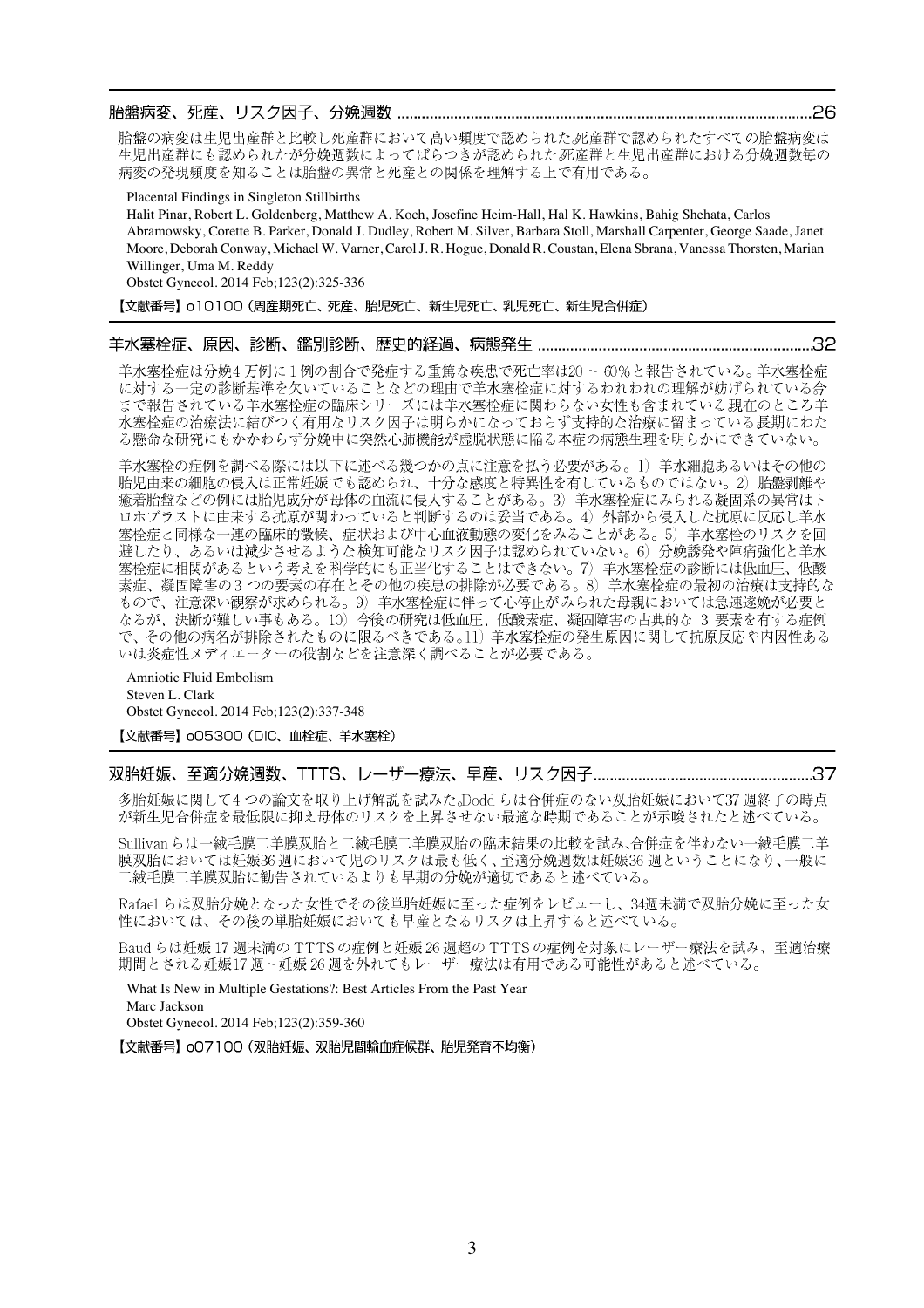#### 

胎盤の病変は生児出産群と比較し死産群において高い頻度で認められた死産群で認められたすべての胎盤病変は 生児出産群にも認められたが分娩週数によってばらつきが認められた死産群と生児出産群における分娩週数毎の 病変の発現頻度を知ることは胎盤の異常と死産との関係を理解する上で有用である。

Placental Findings in Singleton Stillbirths

Halit Pinar, Robert L. Goldenberg, Matthew A. Koch, Josefine Heim-Hall, Hal K. Hawkins, Bahig Shehata, Carlos Abramowsky, Corette B. Parker, Donald J. Dudley, Robert M. Silver, Barbara Stoll, Marshall Carpenter, George Saade, Janet Moore, Deborah Conway, Michael W. Varner, Carol J. R. Hogue, Donald R. Coustan, Elena Sbrana, Vanessa Thorsten, Marian Willinger, Uma M. Reddy

Obstet Gynecol. 2014 Feb;123(2):325-336

【文献番号】 o10100 (周産期死亡、死産、胎児死亡、新生児死亡、乳児死亡、新生児合併症)

#### 

羊水塞栓症は分娩4万例に1例の割合で発症する重篤な疾患で死亡率は20~60%と報告されている。羊水塞栓症 に対する一定の診断基準を欠いていることなどの理由で羊水塞栓症に対するわれわれの理解が妨げられている合 まで報告されている羊水塞栓症の臨床シリーズには羊水塞栓症に関わらない女性も含まれている現在のところ羊 水塞栓症の治療法に結びつく有用なリスク因子は明らかになっておらず支持的な治療に留まっている長期にわた る懸命な研究にもかかわらず分娩中に突然心肺機能が虚脱状態に陥る本症の病態生理を明らかにできていない。

羊水塞栓の症例を調べる際には以下に述べる幾つかの点に注意を払う必要がある。1)羊水細胞あるいはその他の 胎児由来の細胞の侵入は正常妊娠でも認められ、十分な感度と特異性を有しているものではない。2)胎盤剥離や 癒着胎盤などの例には胎児成分が母体の血流に侵入することがある。3) 羊水塞栓症にみられる凝固系の異常はト ロホブラストに由来する抗原が関わっていると判断するのは妥当である。4) 外部から侵入した抗原に反応し羊水 <u>来社をはては、これが、これは、ここでは、ここには、ここでは、ここでは、これは、このことがある。</u><br>実栓症と同様な一連の臨床的徴候、症状および中心血液動態の変化をみることがある。5)羊水塞栓のリスクを回 避したり、あるいは減少させるような検知可能なリスク因子は認められていない。6) 分娩誘発や陣痛強化と羊水 塞栓症に相関があるという考えを科学的にも正当化することはできない。7) 羊水塞栓症の診断には低血圧、低酸 素症、凝固障害の3つの要素の存在とその他の疾患の排除が必要である。8) 羊水塞栓症の最初の治療は支持的な もので、注意深い観察が求められる。9) 羊水塞栓症に伴って心停止がみられた母親においては急速遂娩が必要と なるが、決断が難しい事もある。10) 今後の研究は低血圧、低酸素症、凝固障害の古典的な 3 要素を有する症例<br>で、その他の病名が排除されたものに限るべきである。11) 羊水塞栓症の発生原因に関して抗原反応や内因性ある いは炎症性メディエーターの役割などを注意深く調べることが必要である。

Amniotic Fluid Embolism Steven L. Clark Obstet Gynecol. 2014 Feb;123(2):337-348

【文献番号】 oO5300 (DIC、血栓症、羊水塞栓)

## 

多胎妊娠に関して4つの論文を取り上げ解説を試みた。Doddらは合併症のない双胎妊娠において37 週終了の時点 が新生児合併症を最低限に抑え母体のリスクを上昇させない最適な時期であることが示唆されたと述べている。

Sullivan らは一絨毛膜二羊膜双胎と二絨毛膜二羊膜双胎の臨床結果の比較を試み、合併症を伴わない一絨毛膜二羊 膜双胎においては妊娠36週において児のリスクは最も低く、至適分娩週数は妊娠36週ということになり、一般に 二絨毛膜二羊膜双胎に勧告されているよりも早期の分娩が適切であると述べている。

Rafael らは双胎分娩となった女性でその後単胎妊娠に至った症例をレビューし、34週未満で双胎分娩に至った女 性においては、その後の単胎妊娠においても早産となるリスクは上昇すると述べている。

Baud らは妊娠 17 週未満の TTTS の症例と妊娠 26 週超の TTTS の症例を対象にレーザー療法を試み、至適治療 期間とされる妊娠17週~妊娠26週を外れてもレーザー療法は有用である可能性があると述べている。

What Is New in Multiple Gestations?: Best Articles From the Past Year Marc Jackson Obstet Gynecol. 2014 Feb;123(2):359-360

【文献番号】oO7100 (双胎妊娠、双胎児間輸血症候群、胎児発育不均衡)